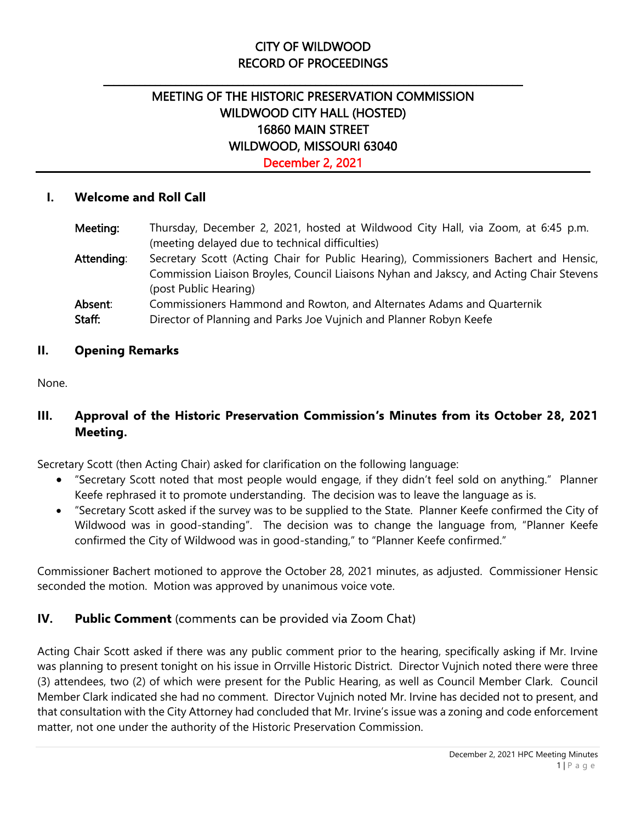## CITY OF WILDWOOD RECORD OF PROCEEDINGS

\_\_\_\_\_\_\_\_\_\_\_\_\_\_\_\_\_\_\_\_\_\_\_\_\_\_\_\_\_\_\_\_\_\_\_\_\_\_\_\_\_\_\_\_\_\_\_\_\_\_\_\_\_\_\_\_\_\_\_\_\_\_\_\_\_\_\_\_\_\_\_\_\_\_\_\_\_\_\_\_\_

# MEETING OF THE HISTORIC PRESERVATION COMMISSION WILDWOOD CITY HALL (HOSTED) 16860 MAIN STREET WILDWOOD, MISSOURI 63040

December 2, 2021

### **I. Welcome and Roll Call**

| Meeting:   | Thursday, December 2, 2021, hosted at Wildwood City Hall, via Zoom, at 6:45 p.m.        |
|------------|-----------------------------------------------------------------------------------------|
|            | (meeting delayed due to technical difficulties)                                         |
| Attending: | Secretary Scott (Acting Chair for Public Hearing), Commissioners Bachert and Hensic,    |
|            | Commission Liaison Broyles, Council Liaisons Nyhan and Jakscy, and Acting Chair Stevens |
|            | (post Public Hearing)                                                                   |
| Absent:    | Commissioners Hammond and Rowton, and Alternates Adams and Quarternik                   |
| Staff:     | Director of Planning and Parks Joe Vujnich and Planner Robyn Keefe                      |

#### **II. Opening Remarks**

None.

## **III. Approval of the Historic Preservation Commission's Minutes from its October 28, 2021 Meeting.**

Secretary Scott (then Acting Chair) asked for clarification on the following language:

- "Secretary Scott noted that most people would engage, if they didn't feel sold on anything." Planner Keefe rephrased it to promote understanding. The decision was to leave the language as is.
- "Secretary Scott asked if the survey was to be supplied to the State. Planner Keefe confirmed the City of Wildwood was in good-standing". The decision was to change the language from, "Planner Keefe confirmed the City of Wildwood was in good-standing," to "Planner Keefe confirmed."

Commissioner Bachert motioned to approve the October 28, 2021 minutes, as adjusted. Commissioner Hensic seconded the motion. Motion was approved by unanimous voice vote.

### **IV. Public Comment** (comments can be provided via Zoom Chat)

Acting Chair Scott asked if there was any public comment prior to the hearing, specifically asking if Mr. Irvine was planning to present tonight on his issue in Orrville Historic District. Director Vujnich noted there were three (3) attendees, two (2) of which were present for the Public Hearing, as well as Council Member Clark. Council Member Clark indicated she had no comment. Director Vujnich noted Mr. Irvine has decided not to present, and that consultation with the City Attorney had concluded that Mr. Irvine's issue was a zoning and code enforcement matter, not one under the authority of the Historic Preservation Commission.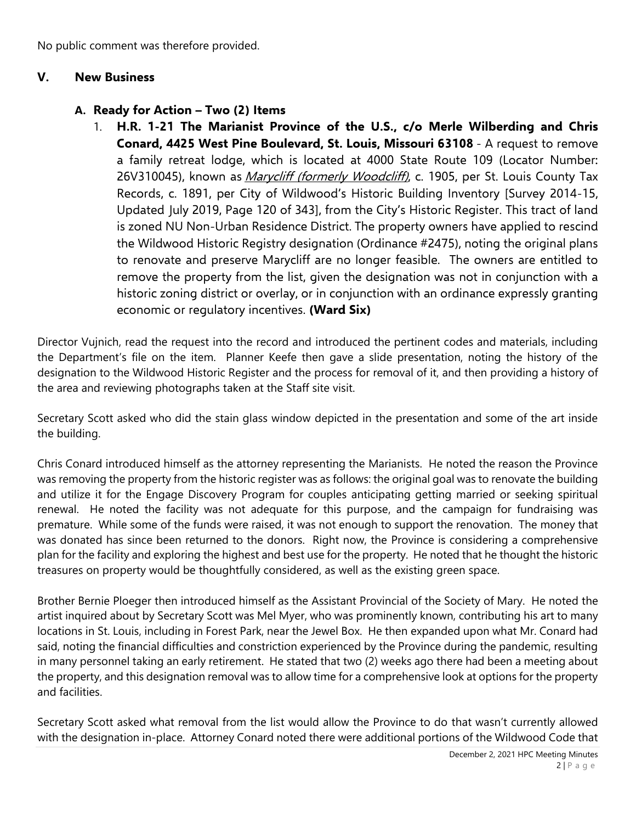No public comment was therefore provided.

#### **V. New Business**

#### **A. Ready for Action – Two (2) Items**

1. **H.R. 1-21 The Marianist Province of the U.S., c/o Merle Wilberding and Chris Conard, 4425 West Pine Boulevard, St. Louis, Missouri 63108** - A request to remove a family retreat lodge, which is located at 4000 State Route 109 (Locator Number: 26V310045), known as *Marycliff (formerly Woodcliff)*, c. 1905, per St. Louis County Tax Records, c. 1891, per City of Wildwood's Historic Building Inventory [Survey 2014-15, Updated July 2019, Page 120 of 343], from the City's Historic Register. This tract of land is zoned NU Non-Urban Residence District. The property owners have applied to rescind the Wildwood Historic Registry designation (Ordinance #2475), noting the original plans to renovate and preserve Marycliff are no longer feasible. The owners are entitled to remove the property from the list, given the designation was not in conjunction with a historic zoning district or overlay, or in conjunction with an ordinance expressly granting economic or regulatory incentives. **(Ward Six)**

Director Vujnich, read the request into the record and introduced the pertinent codes and materials, including the Department's file on the item. Planner Keefe then gave a slide presentation, noting the history of the designation to the Wildwood Historic Register and the process for removal of it, and then providing a history of the area and reviewing photographs taken at the Staff site visit.

Secretary Scott asked who did the stain glass window depicted in the presentation and some of the art inside the building.

Chris Conard introduced himself as the attorney representing the Marianists. He noted the reason the Province was removing the property from the historic register was as follows: the original goal was to renovate the building and utilize it for the Engage Discovery Program for couples anticipating getting married or seeking spiritual renewal. He noted the facility was not adequate for this purpose, and the campaign for fundraising was premature. While some of the funds were raised, it was not enough to support the renovation. The money that was donated has since been returned to the donors. Right now, the Province is considering a comprehensive plan for the facility and exploring the highest and best use for the property. He noted that he thought the historic treasures on property would be thoughtfully considered, as well as the existing green space.

Brother Bernie Ploeger then introduced himself as the Assistant Provincial of the Society of Mary. He noted the artist inquired about by Secretary Scott was Mel Myer, who was prominently known, contributing his art to many locations in St. Louis, including in Forest Park, near the Jewel Box. He then expanded upon what Mr. Conard had said, noting the financial difficulties and constriction experienced by the Province during the pandemic, resulting in many personnel taking an early retirement. He stated that two (2) weeks ago there had been a meeting about the property, and this designation removal was to allow time for a comprehensive look at options for the property and facilities.

Secretary Scott asked what removal from the list would allow the Province to do that wasn't currently allowed with the designation in-place. Attorney Conard noted there were additional portions of the Wildwood Code that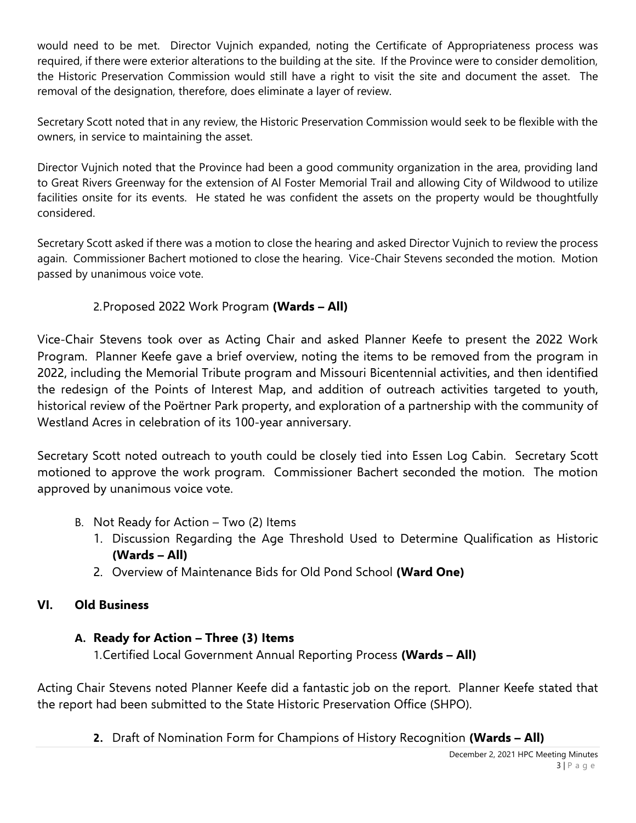would need to be met. Director Vujnich expanded, noting the Certificate of Appropriateness process was required, if there were exterior alterations to the building at the site. If the Province were to consider demolition, the Historic Preservation Commission would still have a right to visit the site and document the asset. The removal of the designation, therefore, does eliminate a layer of review.

Secretary Scott noted that in any review, the Historic Preservation Commission would seek to be flexible with the owners, in service to maintaining the asset.

Director Vujnich noted that the Province had been a good community organization in the area, providing land to Great Rivers Greenway for the extension of Al Foster Memorial Trail and allowing City of Wildwood to utilize facilities onsite for its events. He stated he was confident the assets on the property would be thoughtfully considered.

Secretary Scott asked if there was a motion to close the hearing and asked Director Vujnich to review the process again. Commissioner Bachert motioned to close the hearing. Vice-Chair Stevens seconded the motion. Motion passed by unanimous voice vote.

## 2.Proposed 2022 Work Program **(Wards – All)**

Vice-Chair Stevens took over as Acting Chair and asked Planner Keefe to present the 2022 Work Program. Planner Keefe gave a brief overview, noting the items to be removed from the program in 2022, including the Memorial Tribute program and Missouri Bicentennial activities, and then identified the redesign of the Points of Interest Map, and addition of outreach activities targeted to youth, historical review of the Poërtner Park property, and exploration of a partnership with the community of Westland Acres in celebration of its 100-year anniversary.

Secretary Scott noted outreach to youth could be closely tied into Essen Log Cabin. Secretary Scott motioned to approve the work program. Commissioner Bachert seconded the motion. The motion approved by unanimous voice vote.

- B. Not Ready for Action Two (2) Items
	- 1. Discussion Regarding the Age Threshold Used to Determine Qualification as Historic **(Wards – All)**
	- 2. Overview of Maintenance Bids for Old Pond School **(Ward One)**

## **VI. Old Business**

## **A. Ready for Action – Three (3) Items**

1.Certified Local Government Annual Reporting Process **(Wards – All)**

Acting Chair Stevens noted Planner Keefe did a fantastic job on the report. Planner Keefe stated that the report had been submitted to the State Historic Preservation Office (SHPO).

**2.** Draft of Nomination Form for Champions of History Recognition **(Wards – All)**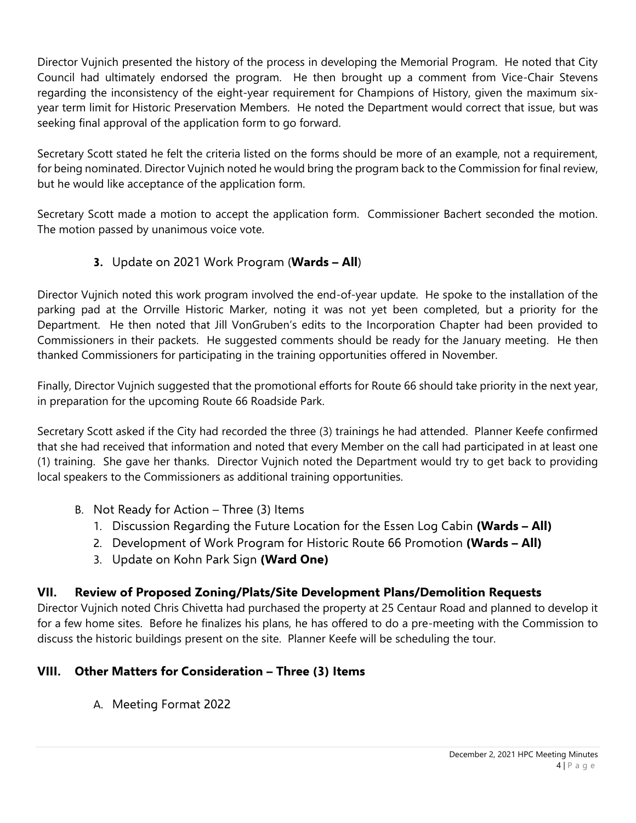Director Vujnich presented the history of the process in developing the Memorial Program. He noted that City Council had ultimately endorsed the program. He then brought up a comment from Vice-Chair Stevens regarding the inconsistency of the eight-year requirement for Champions of History, given the maximum sixyear term limit for Historic Preservation Members. He noted the Department would correct that issue, but was seeking final approval of the application form to go forward.

Secretary Scott stated he felt the criteria listed on the forms should be more of an example, not a requirement, for being nominated. Director Vujnich noted he would bring the program back to the Commission for final review, but he would like acceptance of the application form.

Secretary Scott made a motion to accept the application form. Commissioner Bachert seconded the motion. The motion passed by unanimous voice vote.

## **3.** Update on 2021 Work Program (**Wards – All**)

Director Vujnich noted this work program involved the end-of-year update. He spoke to the installation of the parking pad at the Orrville Historic Marker, noting it was not yet been completed, but a priority for the Department. He then noted that Jill VonGruben's edits to the Incorporation Chapter had been provided to Commissioners in their packets. He suggested comments should be ready for the January meeting. He then thanked Commissioners for participating in the training opportunities offered in November.

Finally, Director Vujnich suggested that the promotional efforts for Route 66 should take priority in the next year, in preparation for the upcoming Route 66 Roadside Park.

Secretary Scott asked if the City had recorded the three (3) trainings he had attended. Planner Keefe confirmed that she had received that information and noted that every Member on the call had participated in at least one (1) training. She gave her thanks. Director Vujnich noted the Department would try to get back to providing local speakers to the Commissioners as additional training opportunities.

- B. Not Ready for Action Three (3) Items
	- 1. Discussion Regarding the Future Location for the Essen Log Cabin **(Wards – All)**
	- 2. Development of Work Program for Historic Route 66 Promotion **(Wards – All)**
	- 3. Update on Kohn Park Sign **(Ward One)**

## **VII. Review of Proposed Zoning/Plats/Site Development Plans/Demolition Requests**

Director Vujnich noted Chris Chivetta had purchased the property at 25 Centaur Road and planned to develop it for a few home sites. Before he finalizes his plans, he has offered to do a pre-meeting with the Commission to discuss the historic buildings present on the site. Planner Keefe will be scheduling the tour.

## **VIII. Other Matters for Consideration – Three (3) Items**

A. Meeting Format 2022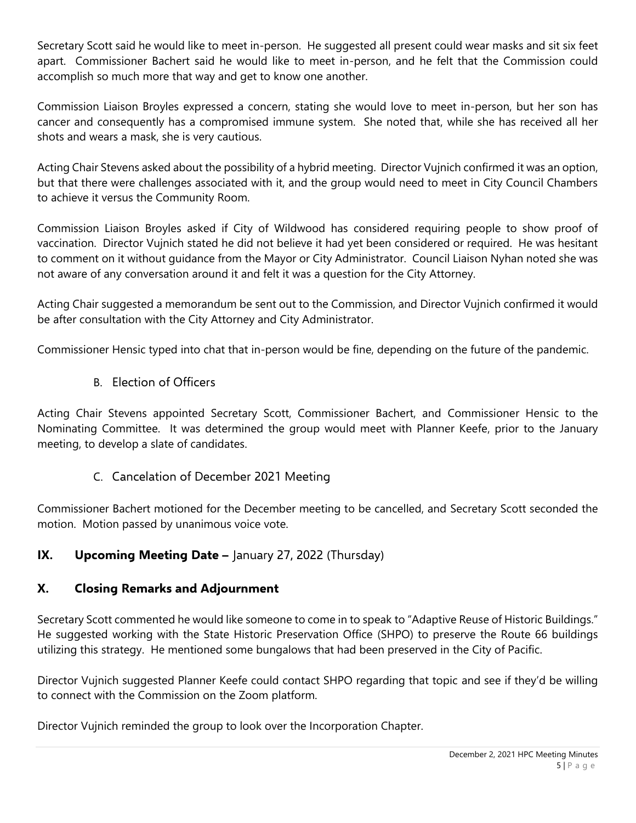Secretary Scott said he would like to meet in-person. He suggested all present could wear masks and sit six feet apart. Commissioner Bachert said he would like to meet in-person, and he felt that the Commission could accomplish so much more that way and get to know one another.

Commission Liaison Broyles expressed a concern, stating she would love to meet in-person, but her son has cancer and consequently has a compromised immune system. She noted that, while she has received all her shots and wears a mask, she is very cautious.

Acting Chair Stevens asked about the possibility of a hybrid meeting. Director Vujnich confirmed it was an option, but that there were challenges associated with it, and the group would need to meet in City Council Chambers to achieve it versus the Community Room.

Commission Liaison Broyles asked if City of Wildwood has considered requiring people to show proof of vaccination. Director Vujnich stated he did not believe it had yet been considered or required. He was hesitant to comment on it without guidance from the Mayor or City Administrator. Council Liaison Nyhan noted she was not aware of any conversation around it and felt it was a question for the City Attorney.

Acting Chair suggested a memorandum be sent out to the Commission, and Director Vujnich confirmed it would be after consultation with the City Attorney and City Administrator.

Commissioner Hensic typed into chat that in-person would be fine, depending on the future of the pandemic.

### B. Election of Officers

Acting Chair Stevens appointed Secretary Scott, Commissioner Bachert, and Commissioner Hensic to the Nominating Committee. It was determined the group would meet with Planner Keefe, prior to the January meeting, to develop a slate of candidates.

### C. Cancelation of December 2021 Meeting

Commissioner Bachert motioned for the December meeting to be cancelled, and Secretary Scott seconded the motion. Motion passed by unanimous voice vote.

### **IX. Upcoming Meeting Date –** January 27, 2022 (Thursday)

### **X. Closing Remarks and Adjournment**

Secretary Scott commented he would like someone to come in to speak to "Adaptive Reuse of Historic Buildings." He suggested working with the State Historic Preservation Office (SHPO) to preserve the Route 66 buildings utilizing this strategy. He mentioned some bungalows that had been preserved in the City of Pacific.

Director Vujnich suggested Planner Keefe could contact SHPO regarding that topic and see if they'd be willing to connect with the Commission on the Zoom platform.

Director Vujnich reminded the group to look over the Incorporation Chapter.